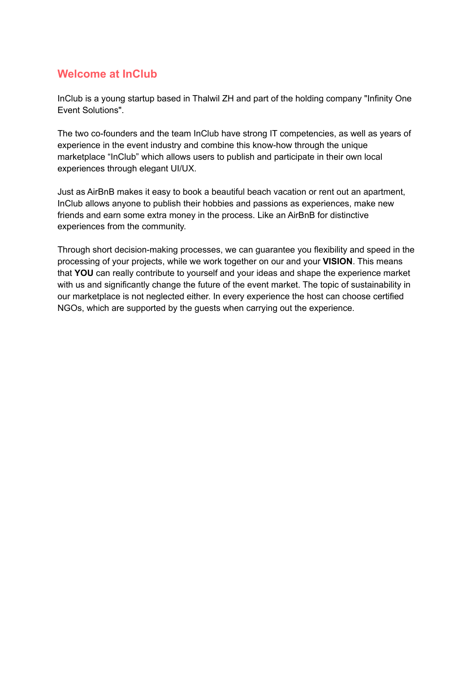## **Welcome at InClub**

InClub is a young startup based in Thalwil ZH and part of the holding company "Infinity One Event Solutions".

The two co-founders and the team InClub have strong IT competencies, as well as years of experience in the event industry and combine this know-how through the unique marketplace "InClub" which allows users to publish and participate in their own local experiences through elegant UI/UX.

Just as AirBnB makes it easy to book a beautiful beach vacation or rent out an apartment, InClub allows anyone to publish their hobbies and passions as experiences, make new friends and earn some extra money in the process. Like an AirBnB for distinctive experiences from the community.

Through short decision-making processes, we can guarantee you flexibility and speed in the processing of your projects, while we work together on our and your **VISION**. This means that **YOU** can really contribute to yourself and your ideas and shape the experience market with us and significantly change the future of the event market. The topic of sustainability in our marketplace is not neglected either. In every experience the host can choose certified NGOs, which are supported by the guests when carrying out the experience.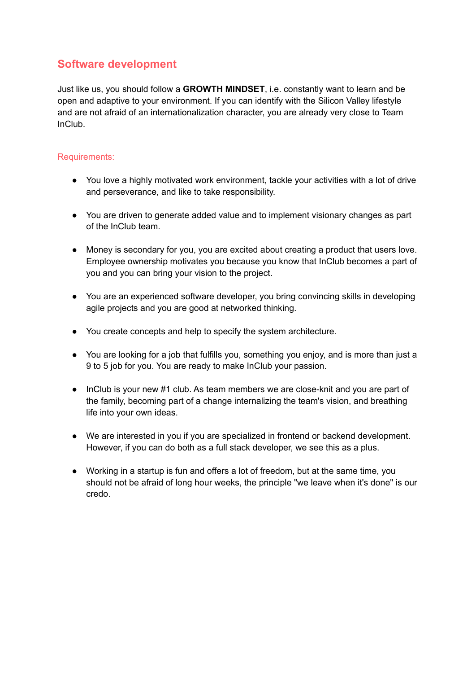# **Software development**

Just like us, you should follow a **GROWTH MINDSET**, i.e. constantly want to learn and be open and adaptive to your environment. If you can identify with the Silicon Valley lifestyle and are not afraid of an internationalization character, you are already very close to Team InClub.

## Requirements:

- You love a highly motivated work environment, tackle your activities with a lot of drive and perseverance, and like to take responsibility.
- You are driven to generate added value and to implement visionary changes as part of the InClub team.
- Money is secondary for you, you are excited about creating a product that users love. Employee ownership motivates you because you know that InClub becomes a part of you and you can bring your vision to the project.
- You are an experienced software developer, you bring convincing skills in developing agile projects and you are good at networked thinking.
- You create concepts and help to specify the system architecture.
- You are looking for a job that fulfills you, something you enjoy, and is more than just a 9 to 5 job for you. You are ready to make InClub your passion.
- InClub is your new #1 club. As team members we are close-knit and you are part of the family, becoming part of a change internalizing the team's vision, and breathing life into your own ideas.
- We are interested in you if you are specialized in frontend or backend development. However, if you can do both as a full stack developer, we see this as a plus.
- Working in a startup is fun and offers a lot of freedom, but at the same time, you should not be afraid of long hour weeks, the principle "we leave when it's done" is our credo.